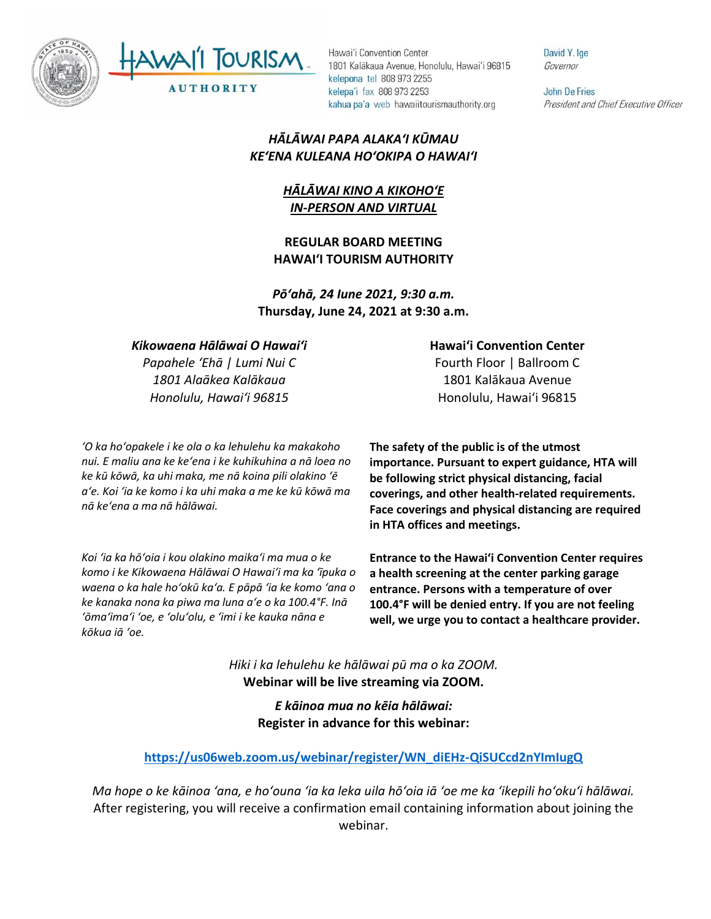



UTHORITY

Hawai'i Convention Center 1801 Kalākaua Avenue, Honolulu, Hawai'i 96815 kelepona tel 808 973 2255 kelepa'i fax 808 973 2253 kahua pa'a web hawaiitourismauthority.org

## *HĀLĀWAI PAPA ALAKAʻI KŪMAU KEʻENA KULEANA HOʻOKIPA O HAWAIʻI*

## *HĀLĀWAI KINO A KIKOHOʻE IN-PERSON AND VIRTUAL*

**REGULAR BOARD MEETING HAWAI'I TOURISM AUTHORITY**

*Pōʻahā, 24 Iune 2021, 9:30 a.m.* **Thursday, June 24, 2021 at 9:30 a.m.**

#### *Kikowaena Hālāwai O Hawaiʻi*

*Papahele ʻEhā | Lumi Nui C 1801 Alaākea Kalākaua Honolulu, Hawaiʻi 96815*

*ʻO ka hoʻopakele i ke ola o ka lehulehu ka makakoho nui. E maliu ana ke keʻena i ke kuhikuhina a nā loea no ke kū kōwā, ka uhi maka, me nā koina pili olakino ʻē aʻe. Koi ʻia ke komo i ka uhi maka a me ke kū kōwā ma nā keʻena a ma nā hālāwai.*

*Koi ʻia ka hōʻoia i kou olakino maikaʻi ma mua o ke komo i ke Kikowaena Hālāwai O Hawaiʻi ma ka ʻīpuka o waena o ka hale hoʻokū kaʻa. E pāpā ʻia ke komo ʻana o ke kanaka nona ka piwa ma luna aʻe o ka 100.4°F. Inā ʻōmaʻimaʻi ʻoe, e ʻoluʻolu, e ʻimi i ke kauka nāna e kōkua iā ʻoe.* 

**Hawaiʻi Convention Center**

Fourth Floor | Ballroom C 1801 Kalākaua Avenue Honolulu, Hawaiʻi 96815

**The safety of the public is of the utmost importance. Pursuant to expert guidance, HTA will be following strict physical distancing, facial coverings, and other health-related requirements. Face coverings and physical distancing are required in HTA offices and meetings.** 

**Entrance to the Hawaiʻi Convention Center requires a health screening at the center parking garage entrance. Persons with a temperature of over 100.4°F will be denied entry. If you are not feeling well, we urge you to contact a healthcare provider.**

*Hiki i ka lehulehu ke hālāwai pū ma o ka ZOOM.* **Webinar will be live streaming via ZOOM.**

> *E kāinoa mua no kēia hālāwai:* **Register in advance for this webinar:**

## **[https://us06web.zoom.us/webinar/register/WN\\_diEHz-QiSUCcd2nYImIugQ](https://us06web.zoom.us/webinar/register/WN_diEHz-QiSUCcd2nYImIugQ)**

*Ma hope o ke kāinoa ʻana, e hoʻouna ʻia ka leka uila hōʻoia iā ʻoe me ka ʻikepili hoʻokuʻi hālāwai.* After registering, you will receive a confirmation email containing information about joining the webinar.

David Y. Ige Governor

**John De Fries** President and Chief Executive Officer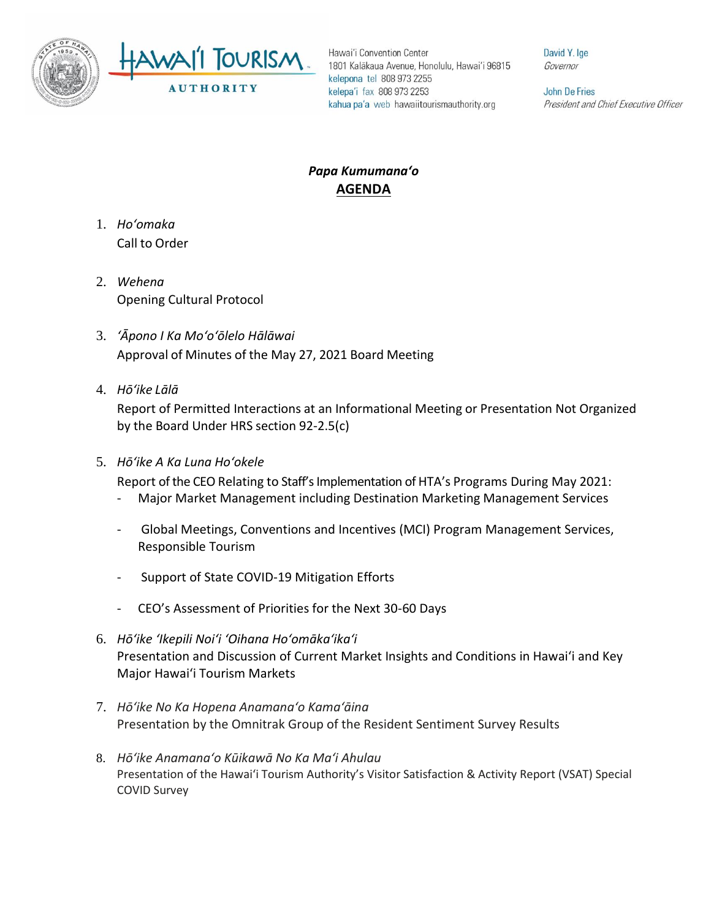



Hawai'i Convention Center 1801 Kalākaua Avenue, Honolulu, Hawai'i 96815 kelepona tel 808 973 2255 kelepa'i fax 808 973 2253 kahua pa'a web hawaiitourismauthority.org

David Y. Ige Governor

**John De Fries** President and Chief Executive Officer

# *Papa Kumumanaʻo* **AGENDA**

- 1. *Ho'omaka* Call to Order
- 2. *Wehena* Opening Cultural Protocol
- 3. *ʻĀpono I Ka Moʻoʻōlelo Hālāwai* Approval of Minutes of the May 27, 2021 Board Meeting
- 4. *Hō'ike Lālā*

Report of Permitted Interactions at an Informational Meeting or Presentation Not Organized by the Board Under HRS section 92-2.5(c)

5. *Hōʻike A Ka Luna Hoʻokele*

Report of the CEO Relating to Staff's Implementation of HTA's Programs During May 2021:

- Major Market Management including Destination Marketing Management Services
- Global Meetings, Conventions and Incentives (MCI) Program Management Services, Responsible Tourism
- Support of State COVID-19 Mitigation Efforts
- CEO's Assessment of Priorities for the Next 30-60 Days
- 6. *Hōʻike ʻIkepili Noiʻi ʻOihana Hoʻomākaʻikaʻi* Presentation and Discussion of Current Market Insights and Conditions in Hawai'i and Key Major Hawai'i Tourism Markets
- 7. *Hōʻike No Ka Hopena Anamanaʻo Kamaʻāina* Presentation by the Omnitrak Group of the Resident Sentiment Survey Results
- 8. *Hōʻike Anamanaʻo Kūikawā No Ka Maʻi Ahulau* Presentation of the Hawaiʻi Tourism Authority's Visitor Satisfaction & Activity Report (VSAT) Special COVID Survey